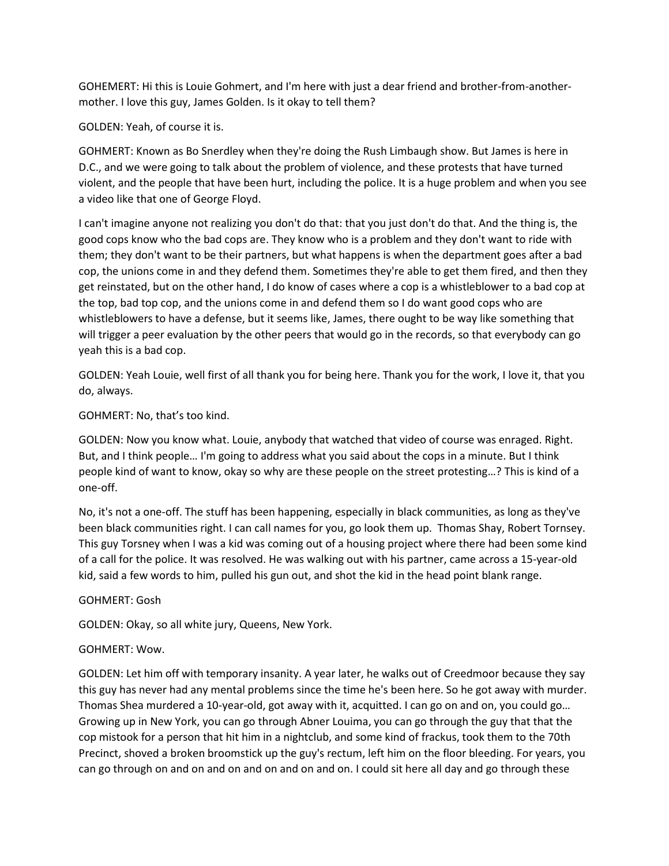GOHEMERT: Hi this is Louie Gohmert, and I'm here with just a dear friend and brother-from-anothermother. I love this guy, James Golden. Is it okay to tell them?

## GOLDEN: Yeah, of course it is.

GOHMERT: Known as Bo Snerdley when they're doing the Rush Limbaugh show. But James is here in D.C., and we were going to talk about the problem of violence, and these protests that have turned violent, and the people that have been hurt, including the police. It is a huge problem and when you see a video like that one of George Floyd.

I can't imagine anyone not realizing you don't do that: that you just don't do that. And the thing is, the good cops know who the bad cops are. They know who is a problem and they don't want to ride with them; they don't want to be their partners, but what happens is when the department goes after a bad cop, the unions come in and they defend them. Sometimes they're able to get them fired, and then they get reinstated, but on the other hand, I do know of cases where a cop is a whistleblower to a bad cop at the top, bad top cop, and the unions come in and defend them so I do want good cops who are whistleblowers to have a defense, but it seems like, James, there ought to be way like something that will trigger a peer evaluation by the other peers that would go in the records, so that everybody can go yeah this is a bad cop.

GOLDEN: Yeah Louie, well first of all thank you for being here. Thank you for the work, I love it, that you do, always.

# GOHMERT: No, that's too kind.

GOLDEN: Now you know what. Louie, anybody that watched that video of course was enraged. Right. But, and I think people… I'm going to address what you said about the cops in a minute. But I think people kind of want to know, okay so why are these people on the street protesting…? This is kind of a one-off.

No, it's not a one-off. The stuff has been happening, especially in black communities, as long as they've been black communities right. I can call names for you, go look them up. Thomas Shay, Robert Tornsey. This guy Torsney when I was a kid was coming out of a housing project where there had been some kind of a call for the police. It was resolved. He was walking out with his partner, came across a 15-year-old kid, said a few words to him, pulled his gun out, and shot the kid in the head point blank range.

## GOHMERT: Gosh

GOLDEN: Okay, so all white jury, Queens, New York.

## GOHMERT: Wow.

GOLDEN: Let him off with temporary insanity. A year later, he walks out of Creedmoor because they say this guy has never had any mental problems since the time he's been here. So he got away with murder. Thomas Shea murdered a 10-year-old, got away with it, acquitted. I can go on and on, you could go… Growing up in New York, you can go through Abner Louima, you can go through the guy that that the cop mistook for a person that hit him in a nightclub, and some kind of frackus, took them to the 70th Precinct, shoved a broken broomstick up the guy's rectum, left him on the floor bleeding. For years, you can go through on and on and on and on and on and on. I could sit here all day and go through these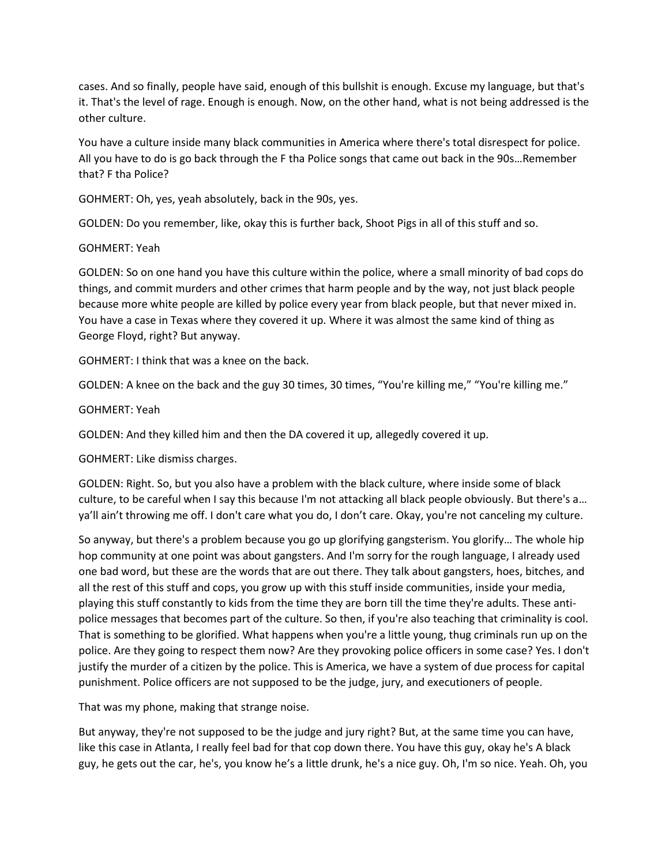cases. And so finally, people have said, enough of this bullshit is enough. Excuse my language, but that's it. That's the level of rage. Enough is enough. Now, on the other hand, what is not being addressed is the other culture.

You have a culture inside many black communities in America where there's total disrespect for police. All you have to do is go back through the F tha Police songs that came out back in the 90s…Remember that? F tha Police?

GOHMERT: Oh, yes, yeah absolutely, back in the 90s, yes.

GOLDEN: Do you remember, like, okay this is further back, Shoot Pigs in all of this stuff and so.

### GOHMERT: Yeah

GOLDEN: So on one hand you have this culture within the police, where a small minority of bad cops do things, and commit murders and other crimes that harm people and by the way, not just black people because more white people are killed by police every year from black people, but that never mixed in. You have a case in Texas where they covered it up. Where it was almost the same kind of thing as George Floyd, right? But anyway.

GOHMERT: I think that was a knee on the back.

GOLDEN: A knee on the back and the guy 30 times, 30 times, "You're killing me," "You're killing me."

### GOHMERT: Yeah

GOLDEN: And they killed him and then the DA covered it up, allegedly covered it up.

GOHMERT: Like dismiss charges.

GOLDEN: Right. So, but you also have a problem with the black culture, where inside some of black culture, to be careful when I say this because I'm not attacking all black people obviously. But there's a… ya'll ain't throwing me off. I don't care what you do, I don't care. Okay, you're not canceling my culture.

So anyway, but there's a problem because you go up glorifying gangsterism. You glorify… The whole hip hop community at one point was about gangsters. And I'm sorry for the rough language, I already used one bad word, but these are the words that are out there. They talk about gangsters, hoes, bitches, and all the rest of this stuff and cops, you grow up with this stuff inside communities, inside your media, playing this stuff constantly to kids from the time they are born till the time they're adults. These antipolice messages that becomes part of the culture. So then, if you're also teaching that criminality is cool. That is something to be glorified. What happens when you're a little young, thug criminals run up on the police. Are they going to respect them now? Are they provoking police officers in some case? Yes. I don't justify the murder of a citizen by the police. This is America, we have a system of due process for capital punishment. Police officers are not supposed to be the judge, jury, and executioners of people.

That was my phone, making that strange noise.

But anyway, they're not supposed to be the judge and jury right? But, at the same time you can have, like this case in Atlanta, I really feel bad for that cop down there. You have this guy, okay he's A black guy, he gets out the car, he's, you know he's a little drunk, he's a nice guy. Oh, I'm so nice. Yeah. Oh, you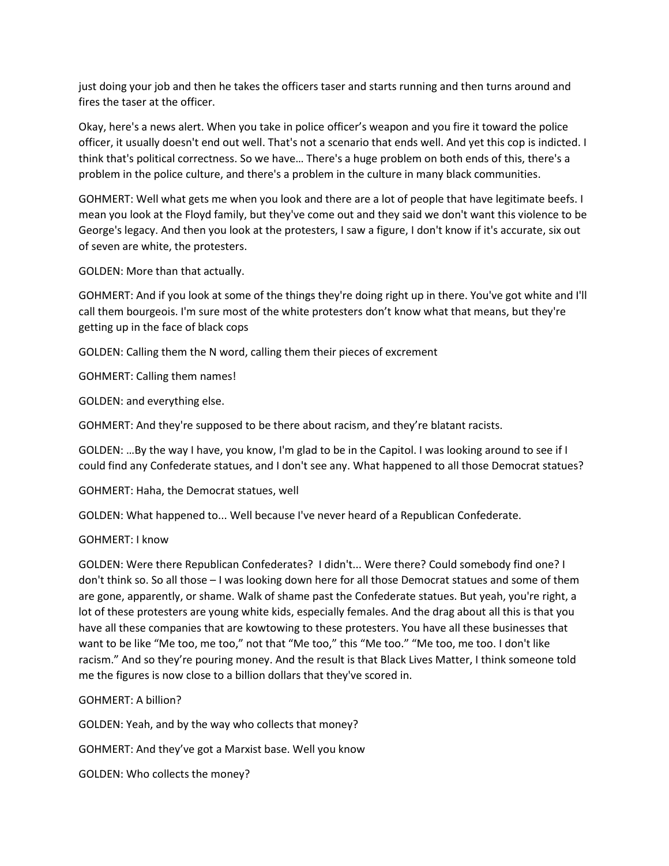just doing your job and then he takes the officers taser and starts running and then turns around and fires the taser at the officer.

Okay, here's a news alert. When you take in police officer's weapon and you fire it toward the police officer, it usually doesn't end out well. That's not a scenario that ends well. And yet this cop is indicted. I think that's political correctness. So we have… There's a huge problem on both ends of this, there's a problem in the police culture, and there's a problem in the culture in many black communities.

GOHMERT: Well what gets me when you look and there are a lot of people that have legitimate beefs. I mean you look at the Floyd family, but they've come out and they said we don't want this violence to be George's legacy. And then you look at the protesters, I saw a figure, I don't know if it's accurate, six out of seven are white, the protesters.

GOLDEN: More than that actually.

GOHMERT: And if you look at some of the things they're doing right up in there. You've got white and I'll call them bourgeois. I'm sure most of the white protesters don't know what that means, but they're getting up in the face of black cops

GOLDEN: Calling them the N word, calling them their pieces of excrement

GOHMERT: Calling them names!

GOLDEN: and everything else.

GOHMERT: And they're supposed to be there about racism, and they're blatant racists.

GOLDEN: …By the way I have, you know, I'm glad to be in the Capitol. I was looking around to see if I could find any Confederate statues, and I don't see any. What happened to all those Democrat statues?

GOHMERT: Haha, the Democrat statues, well

GOLDEN: What happened to... Well because I've never heard of a Republican Confederate.

#### GOHMERT: I know

GOLDEN: Were there Republican Confederates? I didn't... Were there? Could somebody find one? I don't think so. So all those – I was looking down here for all those Democrat statues and some of them are gone, apparently, or shame. Walk of shame past the Confederate statues. But yeah, you're right, a lot of these protesters are young white kids, especially females. And the drag about all this is that you have all these companies that are kowtowing to these protesters. You have all these businesses that want to be like "Me too, me too," not that "Me too," this "Me too." "Me too, me too. I don't like racism." And so they're pouring money. And the result is that Black Lives Matter, I think someone told me the figures is now close to a billion dollars that they've scored in.

#### GOHMERT: A billion?

GOLDEN: Yeah, and by the way who collects that money?

GOHMERT: And they've got a Marxist base. Well you know

GOLDEN: Who collects the money?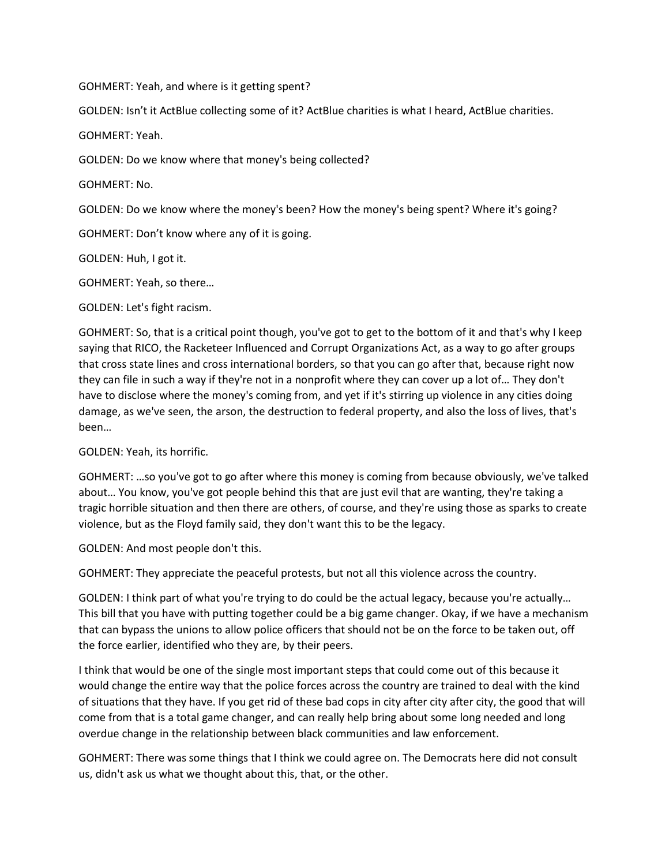GOHMERT: Yeah, and where is it getting spent?

GOLDEN: Isn't it ActBlue collecting some of it? ActBlue charities is what I heard, ActBlue charities.

GOHMERT: Yeah.

GOLDEN: Do we know where that money's being collected?

GOHMERT: No.

GOLDEN: Do we know where the money's been? How the money's being spent? Where it's going?

GOHMERT: Don't know where any of it is going.

GOLDEN: Huh, I got it.

GOHMERT: Yeah, so there…

GOLDEN: Let's fight racism.

GOHMERT: So, that is a critical point though, you've got to get to the bottom of it and that's why I keep saying that RICO, the Racketeer Influenced and Corrupt Organizations Act, as a way to go after groups that cross state lines and cross international borders, so that you can go after that, because right now they can file in such a way if they're not in a nonprofit where they can cover up a lot of… They don't have to disclose where the money's coming from, and yet if it's stirring up violence in any cities doing damage, as we've seen, the arson, the destruction to federal property, and also the loss of lives, that's been…

GOLDEN: Yeah, its horrific.

GOHMERT: …so you've got to go after where this money is coming from because obviously, we've talked about… You know, you've got people behind this that are just evil that are wanting, they're taking a tragic horrible situation and then there are others, of course, and they're using those as sparks to create violence, but as the Floyd family said, they don't want this to be the legacy.

GOLDEN: And most people don't this.

GOHMERT: They appreciate the peaceful protests, but not all this violence across the country.

GOLDEN: I think part of what you're trying to do could be the actual legacy, because you're actually… This bill that you have with putting together could be a big game changer. Okay, if we have a mechanism that can bypass the unions to allow police officers that should not be on the force to be taken out, off the force earlier, identified who they are, by their peers.

I think that would be one of the single most important steps that could come out of this because it would change the entire way that the police forces across the country are trained to deal with the kind of situations that they have. If you get rid of these bad cops in city after city after city, the good that will come from that is a total game changer, and can really help bring about some long needed and long overdue change in the relationship between black communities and law enforcement.

GOHMERT: There was some things that I think we could agree on. The Democrats here did not consult us, didn't ask us what we thought about this, that, or the other.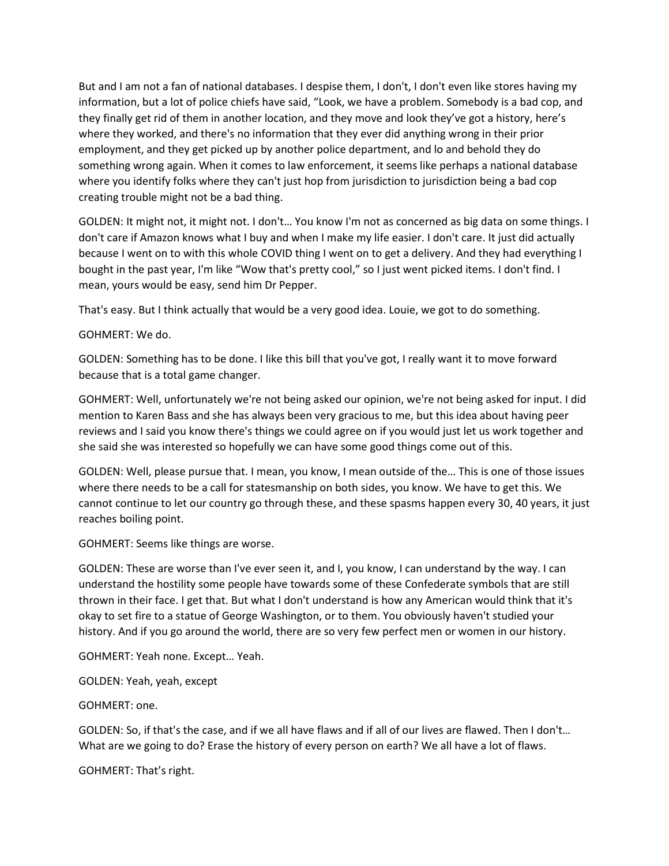But and I am not a fan of national databases. I despise them, I don't, I don't even like stores having my information, but a lot of police chiefs have said, "Look, we have a problem. Somebody is a bad cop, and they finally get rid of them in another location, and they move and look they've got a history, here's where they worked, and there's no information that they ever did anything wrong in their prior employment, and they get picked up by another police department, and lo and behold they do something wrong again. When it comes to law enforcement, it seems like perhaps a national database where you identify folks where they can't just hop from jurisdiction to jurisdiction being a bad cop creating trouble might not be a bad thing.

GOLDEN: It might not, it might not. I don't… You know I'm not as concerned as big data on some things. I don't care if Amazon knows what I buy and when I make my life easier. I don't care. It just did actually because I went on to with this whole COVID thing I went on to get a delivery. And they had everything I bought in the past year, I'm like "Wow that's pretty cool," so I just went picked items. I don't find. I mean, yours would be easy, send him Dr Pepper.

That's easy. But I think actually that would be a very good idea. Louie, we got to do something.

## GOHMERT: We do.

GOLDEN: Something has to be done. I like this bill that you've got, I really want it to move forward because that is a total game changer.

GOHMERT: Well, unfortunately we're not being asked our opinion, we're not being asked for input. I did mention to Karen Bass and she has always been very gracious to me, but this idea about having peer reviews and I said you know there's things we could agree on if you would just let us work together and she said she was interested so hopefully we can have some good things come out of this.

GOLDEN: Well, please pursue that. I mean, you know, I mean outside of the… This is one of those issues where there needs to be a call for statesmanship on both sides, you know. We have to get this. We cannot continue to let our country go through these, and these spasms happen every 30, 40 years, it just reaches boiling point.

GOHMERT: Seems like things are worse.

GOLDEN: These are worse than I've ever seen it, and I, you know, I can understand by the way. I can understand the hostility some people have towards some of these Confederate symbols that are still thrown in their face. I get that. But what I don't understand is how any American would think that it's okay to set fire to a statue of George Washington, or to them. You obviously haven't studied your history. And if you go around the world, there are so very few perfect men or women in our history.

GOHMERT: Yeah none. Except… Yeah.

GOLDEN: Yeah, yeah, except

GOHMERT: one.

GOLDEN: So, if that's the case, and if we all have flaws and if all of our lives are flawed. Then I don't… What are we going to do? Erase the history of every person on earth? We all have a lot of flaws.

GOHMERT: That's right.